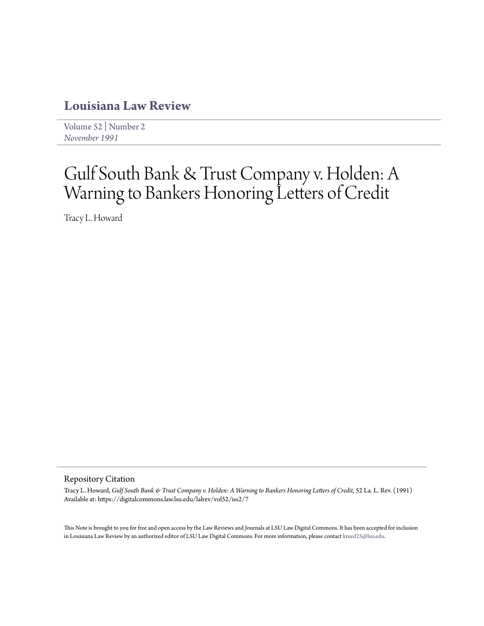# **[Louisiana Law Review](https://digitalcommons.law.lsu.edu/lalrev)**

[Volume 52](https://digitalcommons.law.lsu.edu/lalrev/vol52) | [Number 2](https://digitalcommons.law.lsu.edu/lalrev/vol52/iss2) *[November 1991](https://digitalcommons.law.lsu.edu/lalrev/vol52/iss2)*

# Gulf South Bank & Trust Company v. Holden: A Warning to Bankers Honoring Letters of Credit

Tracy L. Howard

#### Repository Citation

Tracy L. Howard, *Gulf South Bank & Trust Company v. Holden: A Warning to Bankers Honoring Letters of Credit*, 52 La. L. Rev. (1991) Available at: https://digitalcommons.law.lsu.edu/lalrev/vol52/iss2/7

This Note is brought to you for free and open access by the Law Reviews and Journals at LSU Law Digital Commons. It has been accepted for inclusion in Louisiana Law Review by an authorized editor of LSU Law Digital Commons. For more information, please contact [kreed25@lsu.edu](mailto:kreed25@lsu.edu).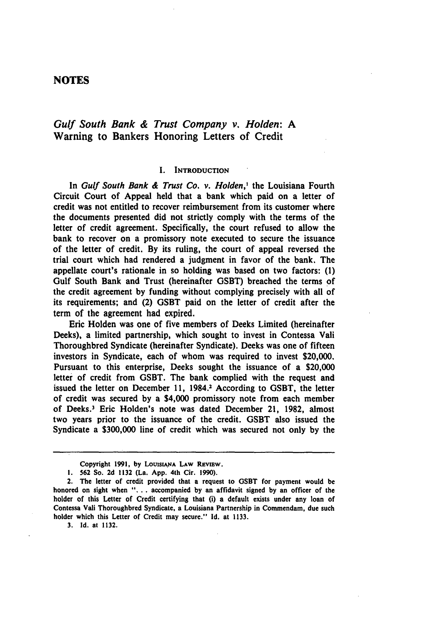### **NOTES**

## *Gulf South* Bank *&* Trust *Company v. Holden: A* Warning to Bankers Honoring Letters of Credit

#### **I. INTRODUCTION**

In Gulf South Bank *& Trust* Co. *v.* Holden,' the Louisiana Fourth Circuit Court of Appeal held that a bank which paid on a letter of credit was not entitled to recover reimbursement from its customer where the documents presented did not strictly comply with the terms of the letter of credit agreement. Specifically, the court refused to allow the bank to recover on a promissory note executed to secure the issuance of the letter of credit. **By** its ruling, the court of appeal reversed the trial court which had rendered a judgment in favor of the bank. The appellate court's rationale in so holding was based on two factors: **(1)** Gulf South Bank and Trust (hereinafter **GSBT)** breached the terms of the credit agreement **by** funding without complying precisely with **all of** its requirements; and (2) **GSBT** paid on the letter of credit after the term of the agreement had expired.

Eric Holden was one of five members of Deeks Limited (hereinafter Deeks), a limited partnership, which sought to invest in Contessa Vali Thoroughbred Syndicate (hereinafter Syndicate). Deeks was one of fifteen investors in Syndicate, each of whom was required to invest \$20,000. Pursuant to this enterprise, Deeks sought the issuance of a \$20,000 letter of credit from **GSBT.** The bank complied with the request and issued the letter on December **11, 1984.2** According to **GSBT,** the letter of credit was secured **by** a \$4,000 promissory note from each member of Deeks.3 Eric Holden's note was dated December 21, **1982,** almost two years prior to the issuance of the credit. **GSBT** also issued the Syndicate a **\$300,000** line of credit which was secured not only **by** the

**3. Id.** at **1132.**

Copyright 1991, by LOUISIANA LAW REVIEW.

**I. 562** So. **2d 1132** (La. **App.** 4th Cir. **1990).**

**<sup>2.</sup>** The letter of credit provided that a request to **GSBT** for payment would be honored on sight when **". . .** accompanied **by** an affidavit signed **by** an officer of the holder of this Letter of Credit certifying that (i) a default exists under any loan of Contessa Vali Thoroughbred Syndicate, a Louisiana Partnership in Commendam, due such holder which this Letter of Credit may secure." **Id.** at **1133.**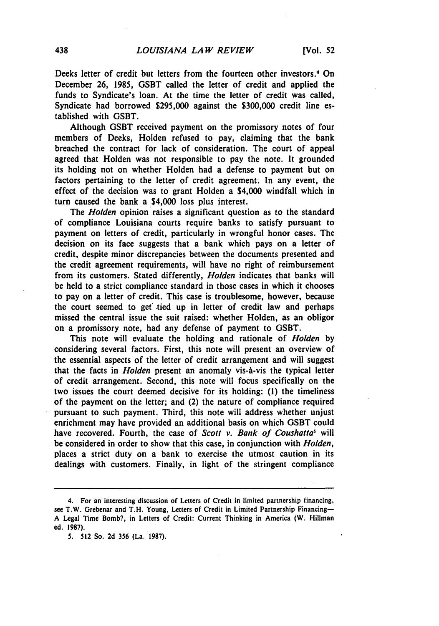Deeks letter of credit but letters from the fourteen other investors.4 On December **26, 1985, GSBT** called the letter of credit and applied the funds to Syndicate's loan. At the time the letter of credit was called, Syndicate had borrowed **\$295,000** against the **\$300,000** credit line established with **GSBT.**

Although **GSBT** received payment on the promissory notes of four members of Deeks, Holden refused to pay, claiming that the bank breached the contract for lack of consideration. The court of appeal agreed that Holden was not responsible to pay the note. It grounded its holding not on whether Holden had a defense to payment but on factors pertaining to the letter of credit agreement. In any event, the effect of the decision was to grant Holden a \$4,000 windfall which in turn caused the bank a \$4,000 loss plus interest.

The *Holden* opinion raises a significant question as to the standard of compliance Louisiana courts require banks to satisfy pursuant to payment on letters of credit, particularly in wrongful honor cases. The decision on its face suggests that a bank which pays on a letter of credit, despite minor discrepancies between the documents presented and the credit agreement requirements, will have no right of reimbursement from its customers. Stated differently, *Holden* indicates that banks will be held to a strict compliance standard in those cases in which it chooses to pay on a letter of credit. This case is troublesome, however, because the court seemed to get tied up in letter of credit law and perhaps missed the central issue the suit raised: whether Holden, as an obligor on a promissory note, had any defense of payment to **GSBT.**

This note will evaluate the holding and rationale of *Holden* **by** considering several factors. First, this note will present an overview of the essential aspects of the letter of credit arrangement and will suggest that the facts in *Holden* present an anomaly vis-A-vis the typical letter of credit arrangement. Second, this note will focus specifically on the two issues the court deemed decisive for its holding: **(1)** the timeliness of the payment on the letter; and (2) the nature of compliance required pursuant to such payment. Third, this note will address whether unjust enrichment may have provided an additional basis on which GSBT could have recovered. Fourth, the case of *Scott v. Bank of Coushatta'* will be considered in order to show that this case, in conjunction with *Holden,* places a strict duty on a bank to exercise the utmost caution in its dealings with customers. Finally, in light of the stringent compliance

<sup>4.</sup> For an interesting discussion of Letters of Credit in limited partnership financing, see T.W. Grebenar and T.H. Young, Letters of Credit in Limited Partnership Financing-**A** Legal Time Bomb?, in Letters of Credit: Current Thinking in America (W. Hillman ed. **1987).**

**<sup>5.</sup> 512** So. **2d 356** (La. **1987).**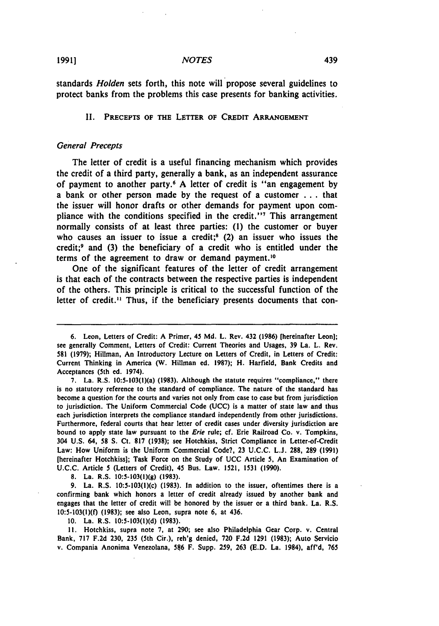#### *NOTES*

standards *Holden* sets forth, this note will propose several guidelines to protect banks from the problems this case presents for banking activities.

#### **II.** PRECEPTS **OF THE LETTER OF CREDIT ARRANGEMENT**

#### General Precepts

The letter of credit is a useful financing mechanism which provides the credit of a third party, generally a bank, as an independent assurance of payment to another party. <sup>6</sup>**A** letter of credit is "an engagement **by** a bank or other person made **by** the request of a customer **...** that the issuer will honor drafts or other demands for payment upon compliance with the conditions specified in the credit."<sup>7</sup> This arrangement normally consists of at least three parties: **(1)** the customer or buyer who causes an issuer to issue a credit;<sup>8</sup> (2) an issuer who issues the credit; 9 and **(3)** the beneficiary of a credit who is entitled under the terms of the agreement to draw or demand payment.<sup>10</sup>

One of the significant features of the letter of credit arrangement is that each of the contracts between the respective parties is independent of the others. This principle is critical to the successful function of the letter of credit.<sup>11</sup> Thus, if the beneficiary presents documents that con-

**8.** La. R.S. **10:5-103(1)(g) (1983).**

**9.** La. R.S. 10:5-103(!)(c) **(1983).** In addition to the issuer, oftentimes there is a confirming bank which honors a letter of credit already issued **by** another bank and engages that the letter of credit will be honored **by** the issuer or a third bank. La. R.S. **10:5-103(l)(f) (1983);** see also Leon, supra note **6,** at 436.

**10.** La. R.S. **10:5-103(1)(d) (1983).**

**11.** Hotchkiss, supra note **7,** at **290;** see also Philadelphia Gear Corp. v. Central Bank, **717 F.2d 230, 235** (5th Cir.), reh'g denied, **720 F.2d 1291 (1983);** Auto Servicio v. Compania Anonima Venezolana, **586** F. Supp. **259, 263 (E.D.** La. 1984), aff'd, **765**

**<sup>6.</sup>** Leon, Letters of Credit: **A** Primer, 45 **Md.** L. Rev. 432 **(1986)** [hereinafter Leon]; see generally Comment, Letters of Credit: Current Theories and Usages, **39** La. L. Rev. **581 (1979);** Hillman, An Introductory Lecture on Letters of Credit, in Letters of Credit: Current Thinking in America (W. Hillman ed. **1987);** H. Harfield, Bank Credits and Acceptances (5th **ed.** 1974).

**<sup>7.</sup>** La. R.S. 10:5-103(l)(a) **(1983).** Although the statute requires "compliance," there is no statutory reference to the standard of compliance. The nature of the standard has become a question for the courts and varies not only from case to case but from jurisdiction to jurisdiction. The Uniform Commercial Code **(UCC)** is a matter of state law and thus each jurisdiction interprets the compliance standard independently from other jurisdictions. Furthermore, federal courts that hear letter of credit cases under diversity jurisdiction are bound to apply state law pursuant to the Erie rule; cf. Erie Railroad Co. v. Tompkins, 304 **U.S.** 64, **58 S.** Ct. **817 (1938);** see Hotchkiss, Strict Compliance in Letter-of-Credit Law: How Uniform is the Uniform Commercial Code?, **23 U.C.C. L.J. 288, 289 (1991)** [hereinafter Hotchkiss]; Task Force on the Study of **UCC** Article 5, An Examination of **U.C.C.** Article 5 (Letters of Credit). 45 Bus. Law. **1521, 1531 (1990).**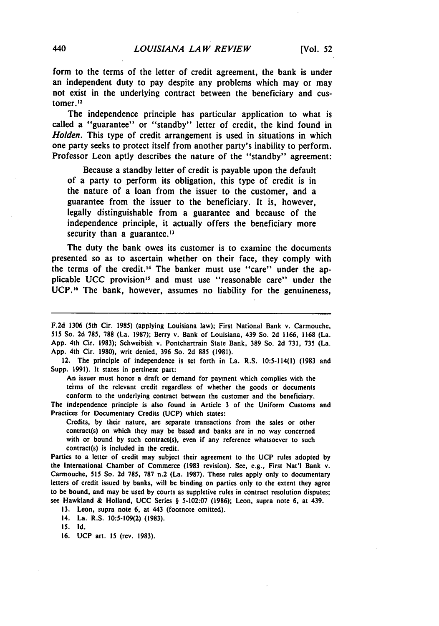form to the terms of the letter of credit agreement, the bank is under an independent duty to pay despite any problems which may or may not exist in the underlying contract between the beneficiary and cus**tomer.** <sup>12</sup>

The independence principle has particular application to what is called a "guarantee" or "standby" letter of credit, the kind found in *Holden.* This type of credit arrangement is used in situations in which one party seeks to protect itself from another party's inability to perform. Professor Leon aptly describes the nature of the "standby" agreement:

Because a standby letter of credit is payable upon the default of a party to perform its obligation, this type of credit is in the nature of a loan from the issuer to the customer, and a guarantee from the issuer to the beneficiary. It is, however, legally distinguishable from a guarantee and because of the independence principle, it actually offers the beneficiary more security than a guarantee. $13$ 

The duty the bank owes its customer is to examine the documents presented so as to ascertain whether on their face, they comply with the terms of the credit.<sup>14</sup> The banker must use "care" under the applicable **UCC** provision"5 and must use "reasonable care" under the **UCP.16** The bank, however, assumes no liability for the genuineness,

12. The principle of independence is set forth in La. R.S. 10:5-114(1) **(1983** and Supp. **1991).** It states in pertinent part:

An issuer must honor a draft or demand for payment which complies with the terms of the relevant credit regardless of whether the goods or documents conform to the underlying contract between the customer and the beneficiary.

The independence principle is also found in Article 3 of the Uniform Customs and Practices for Documentary Credits **(UCP)** which states:

Credits, **by** their nature, are separate transactions from the sales or other contract(s) on which they may be based and banks are in no way concerned with or bound **by** such contract(s), even if any reference whatsoever to such contract(s) is included in the credit.

Parties to a letter of credit may subject their agreement to the **UCP** rules adopted **by** the International Chamber of Commerce **(1983** revision). See, e.g., First Nat'l Bank v. Carmouche, **515** So. **2d 785, 787** n.2 (La. **1987).** These rules apply only to documentary letters of credit issued **by** banks, will **be** binding on parties only to the extent they agree to be bound, and may be used **by** courts as suppletive rules in contract resolution disputes; see Hawkland & Holland, **UCC** Series § **5-102:07 (1986);** Leon, supra note **6,** at 439.

**13.** Leon, supra note **6,** at 443 (footnote omitted).

14. La. R.S. **10:5-109(2) (1983).**

**15. Id.**

**16. UCP** art. **15** (rev. **1983).**

**F.2d 1306** (5th Cir. **1985)** (applying Louisiana law); First National Bank v. Carmouche, **515** So. **2d 785, 788** (La. **1987).** Berry v. Bank of Louisiana, 439 So. **2d 1166, 1168** (La. **App.** 4th Cir. **1983);** Schweibish v. Pontchartrain State Bank, **389** So. **2d 731,** 735 (La. **App.** 4th Cir. **1980),** writ denied, **396** So. **2d 885 (1981).**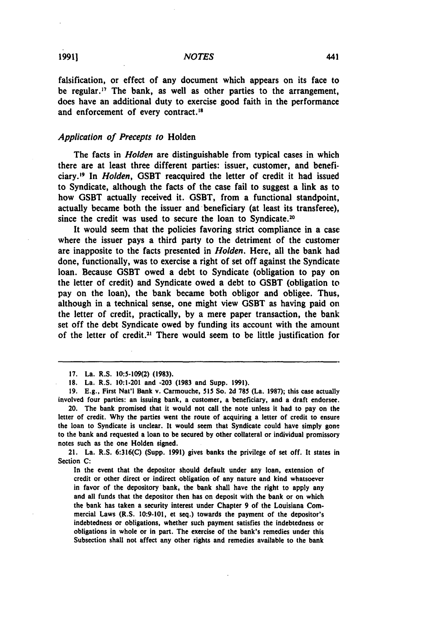falsification, or effect of any document which appears on its face to be regular." The bank, as well as other parties to the arrangement, does have an additional duty to exercise good faith in the performance and enforcement of every contract.<sup>18</sup>

#### *Application of Precepts to* Holden

The facts in *Holden* are distinguishable from typical cases in which there are at least three different parties: issuer, customer, and beneficiary. 19 In *Holden,* **GSBT** reacquired the letter of credit it had issued to Syndicate, although the facts of the case fail to suggest a link as to how **GSBT** actually received it. **GSBT,** from a functional standpoint, actually became both the issuer and beneficiary (at least its transferee), since the credit was used to secure the loan to Syndicate.<sup>20</sup>

It would seem that the policies favoring strict compliance in a case where the issuer pays a third party to the detriment of the customer are inapposite to the facts presented in *Holden.* Here, all the bank had done, functionally, was to exercise a right of set off against the Syndicate loan. Because **GSBT** owed a debt to Syndicate (obligation to pay on the letter of credit) and Syndicate owed a debt to **GSBT** (obligation to pay on the loan), the bank became both obligor and obligee. Thus, although in a technical sense, one might view **GSBT** as having paid on the letter of credit, practically, **by** a mere paper transaction, the bank set off the debt Syndicate owed **by** funding its account with the amount of the letter of credit.<sup>21</sup> There would seem to be little justification for

21. La. R.S. **6:316(C)** (Supp. **1991)** gives banks the privilege of set off. It states in Section **C:**

In the event that the depositor should default under any loan, extension of credit or other direct or indirect obligation of any nature and kind whatsoever in favor of the depository bank, the bank shall have the right to apply any and all funds that the depositor then has on deposit with the bank or on which the bank has taken a security interest under Chapter **9** of the Louisiana Commercial Laws (R.S. **10:9-101,** et seq.) towards the payment of the depositor's indebtedness or obligations, whether such payment satisfies the indebtedness or obligations in whole or in part. The exercise of the bank's remedies under this Subsection shall not affect any other rights and remedies available to the bank

**<sup>17.</sup>** La. R.S. **10:5-109(2) (1983).**

**<sup>18.</sup>** La. R.S. 10:1.201 and **-203 (1983** and Supp. **1991).**

**<sup>19.</sup> E.g.,** First Nat'l Bank v. Carmouche, **515** So. **2d 785** (La. **1987);** this case actually involved four parties: an issuing bank, a customer, a beneficiary, and a draft endorsee.

<sup>20.</sup> The bank promised that it would not call the note unless it had to pay on the letter of credit. **Why** the parties went the route of acquiring a letter of credit to ensure the loan to Syndicate is unclear. It would seem that Syndicate could have simply gone to the bank and requested a loan to be secured **by** other collateral or individual promissory notes such as the one Holden signed.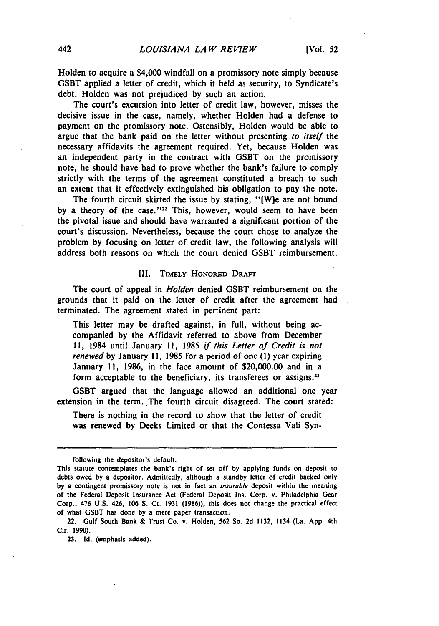Holden to acquire a \$4,000 windfall on a promissory note simply because **GSBT** applied a letter of credit, which it held as security, to Syndicate's debt. Holden was not prejudiced **by** such an action.

The court's excursion into letter of credit law, however, misses the decisive issue in the case, namely, whether Holden had a defense to payment on the promissory note. Ostensibly, Holden would be able to argue that the bank paid on the letter without presenting *to itself* the necessary affidavits the agreement required. Yet, because Holden was an independent party in the contract with **GSBT** on the promissory note, he should have had to prove whether the bank's failure to comply strictly with the terms of the agreement constituted a breach to such an extent that it effectively extinguished his obligation to pay the note.

The fourth circuit skirted the issue **by** stating, "[W]e are not bound by a theory of the case."<sup>22</sup> This, however, would seem to have been the pivotal issue and should have warranted a significant portion of the court's discussion. Nevertheless, because the court chose to analyze the problem **by** focusing on letter of credit law, the following analysis will address both reasons on which the court denied **GSBT** reimbursement.

#### **III.** TIMELY HONORED DRAFT

The court of appeal in *Holden* denied **GSBT** reimbursement on the grounds that it paid on the letter of credit after the agreement had terminated. The agreement stated in pertinent part:

This letter may be drafted against, in full, without being accompanied **by** the Affidavit referred to above from December **11,** 1984 until January **11, 1985** *if this Letter of Credit is not renewed* **by** January **11, 1985** for a period of one **(1)** year expiring January **11, 1986,** in the face amount of \$20,000.00 and in a form acceptable to the beneficiary, its transferees or assigns.<sup>23</sup>

GSBT argued that the language allowed an additional one year extension in the term. The fourth circuit disagreed. The court stated:

There is nothing in the record to show that the letter of credit was renewed **by** Deeks Limited or that the Contessa Vali Syn-

following the depositor's default.

This statute contemplates the bank's right of set off **by** applying funds on deposit to debts owed **by** a depositor. Admittedly, although a standby letter of credit backed only **by** a contingent promissory note is not in fact an insurable deposit within the meaning of the Federal Deposit Insurance Act (Federal Deposit Ins. Corp. v. Philadelphia Gear Corp., 476 **U.S.** 426, **106 S.** Ct. **1931 (1986)),** this does not change the practical effect of what **GSBT** has done **by** a mere paper transaction.

<sup>22.</sup> Gulf South Bank & Trust Co. v. Holden, **562** So. **2d 1132,** 1134 (La. **App.** 4th Cir. **1990).**

**<sup>23.</sup> Id.** (emphasis added).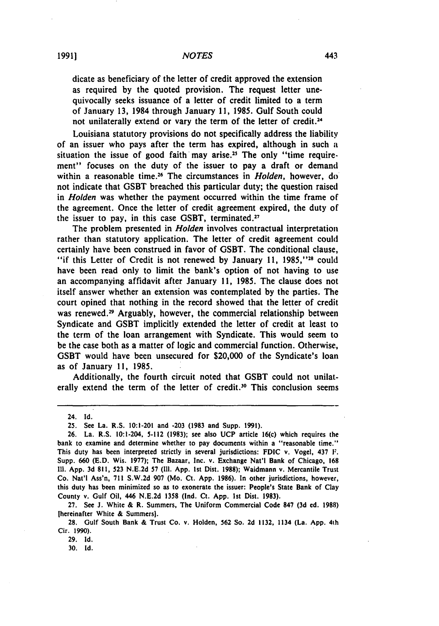dicate as beneficiary of the letter of credit approved the extension as required **by** the quoted provision. The request letter unequivocally seeks issuance of a letter of credit limited to a term of January **13,** 1984 through January **11, 1985.** Gulf South could not unilaterally extend or vary the term of the letter of credit.<sup>24</sup>

Louisiana statutory provisions do not specifically address the liability of an issuer who pays after the term has expired, although in such **a** situation the issue of good faith may arise **.2** The only "time requirement" focuses on the duty of the issuer to pay a draft or demand within a reasonable **time.26** The circumstances in *Holden,* however, do not indicate that **GSBT** breached this particular duty; the question raised in *Holden* was whether the payment occurred within the time frame of the agreement. Once the letter of credit agreement expired, the duty of the issuer to pay, in this case **GSBT,** terminated.<sup>27</sup>

The problem presented in *Holden* involves contractual interpretation rather than statutory application. The letter of credit agreement could certainly have been construed in favor of **GSBT.** The conditional clause, "if this Letter of Credit is not renewed by January 11, 1985,"<sup>28</sup> could have been read only to limit the bank's option of not having to use an accompanying affidavit after January **11, 1985.** The clause does not itself answer whether an extension was contemplated **by** the parties. The court opined that nothing in the record showed that the letter of credit was renewed.<sup>29</sup> Arguably, however, the commercial relationship between Syndicate and **GSBT** implicitly extended the letter of credit at least to the term of the loan arrangement with Syndicate. This would seem to be the case both as a matter of logic and commercial function. Otherwise, **GSBT** would have been unsecured for \$20,000 of the Syndicate's loan as of January **11, 1985.**

Additionally, the fourth circuit noted that **GSBT** could not unilaterally extend the term of the letter of credit.<sup>30</sup> This conclusion seems

**27.** See **J.** White **&** R. Summers, The Uniform Commercial Code **847 (3d ed. 1988)** [hereinafter White **&** Summers].

**29. Id.**

**30. Id.**

<sup>24.</sup> **Id.**

**<sup>25.</sup>** See La. R.S. 10:1-201 and **-203 (1983** and Supp. **1991).**

**<sup>26.</sup>** La. R.S. 10:1-204, **5-112 (1983);** see also **UCP** article 16(c) which requires the bank to examine and determine whether to pay documents within a "reasonable time." This duty has been interpreted strictly in several jurisdictions: **FDIC** v. Vogel, 437 **F.** Supp. **660 (E.D.** Wis. **1977);** The Bazaar, Inc. v. Exchange Nat'l Bank of Chicago, **168 11. App. 3d 811, 523 N.E.2d 57 (Ill. App. 1st** Dist. **1988);** Waidmann v. Mercantile Trust Co. Nat'l Ass'n, **711 S.W.2d 907** (Mo. Ct. **App. 1986).** In other jurisdictions, however, this duty has been minimized so as to exonerate the issuer: People's State Bank of Clay County **v.** Gulf Oil, 446 **N.E.2d 1358** (Ind. Ct. **App. 1st** Dist. **1983).**

<sup>28.</sup> Gulf South Bank **&** Trust Co. v. Holden, **562** So. **2d 1132,** 1134 (La. **App. 4th** Cir. **1990).**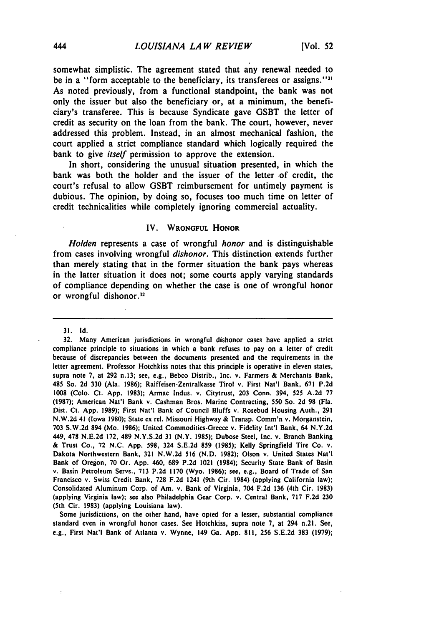somewhat simplistic. The agreement stated that any renewal needed to be in a "form acceptable to the beneficiary, its transferees or assigns."<sup>31</sup> As noted previously, from a functional standpoint, the bank was not only the issuer but also the beneficiary or, at a minimum, the beneficiary's transferee. This is because Syndicate gave GSBT the letter of credit as security on the loan from the bank. The court, however, never addressed this problem. Instead, in an almost mechanical fashion, the court applied a strict compliance standard which logically required the bank to give *itself* permission to approve the extension.

In short, considering the unusual situation presented, in which the bank was both the holder and the issuer of the letter of credit, the court's refusal to allow **GSBT** reimbursement for untimely payment is dubious. The opinion, **by** doing so, focuses too much time on letter of credit technicalities while completely ignoring commercial actuality.

#### IV. WRONGFUL HONOR

*Holden* represents a case of wrongful *honor* and is distinguishable from cases involving wrongful *dishonor.* This distinction extends further than merely stating that in the former situation the bank pays whereas in the latter situation it does not; some courts apply varying standards of compliance depending on whether the case is one of wrongful honor or wrongful dishonor.<sup>32</sup>

31. **Id.**

**32.** Many American jurisdictions in wrongful dishonor cases have applied a strict compliance principle to situations in which a bank refuses to pay on a letter of credit because of discrepancies between the documents presented and the requirements in the letter agreement. Professor Hotchkiss notes that this principle is operative in eleven states, supra note **7,** at 292 n.13; see, e.g., Bebco Distrib., Inc. v. Farmers & Merchants Bank, 485 So. 2d **330** (Ala. 1986); Raiffeisen-Zentralkasse Tirol v. First Nat'l Bank, **671** P.2d 1008 (Colo. Ct. App. **1983);** Armac Indus. v. Citytrust, **203** Conn. 394, 525 A.2d 77 (1987); American Nat'l Bank v. Cashman Bros. Marine Contracting, 550 So. **2d 98** (Fla. Dist. Ct. **App.** 1989); First Nat'l Bank of Council Bluffs v. Rosebud Housing Auth., **291** N.W.2d 41 (Iowa 1980); State ex rel. Missouri Highway & Transp. Comm'n v. Morganstein, **703** S.W.2d 894 (Mo. 1986); United Commodities-Greece v. Fidelity Int'l Bank, 64 N.Y.2d 449, **478** N.E.2d 172, 489 N.Y.S.2d **31** (N.Y. 1985); Dubose Steel, Inc. v. Branch Banking & Trust Co., 72 N.C. App. 598, 324 S.E.2d **859** (1985); Kelly Springfield Tire Co. v. Dakota Northwestern Bank, **321** N.W.2d **516** (N.D. 1982); Olson v. United States Nat'l Bank of Oregon, **70** Or. App. 460, **689** P.2d 1021 (1984); Security State Bank of Basin v. Basin Petroleum Servs., **713** P.2d 1170 (Wyo. 1986); see, e.g., Board of Trade of San Francisco v. Swiss Credit Bank, **728** F.2d 1241 (9th Cir. 1984) (applying California law); Consolidated Aluminum Corp. of Am. v. Bank of Virginia, 704 F.2d **136** (4th Cir. **1983)** (applying Virginia law); see also Philadelphia Gear Corp. v. Central Bank, 717 F.2d **230** (5th Cir. **1983)** (applying Louisiana law).

Some jurisdictions, on the other hand, have opted for a lesser, substantial compliance standard even in wrongful honor cases. See Hotchkiss, supra note **7,** at 294 n.21. See, e.g., First Nat'l Bank of Atlanta v. Wynne, 149 Ga. App. **811, 256** S.E.2d **383 (1979);**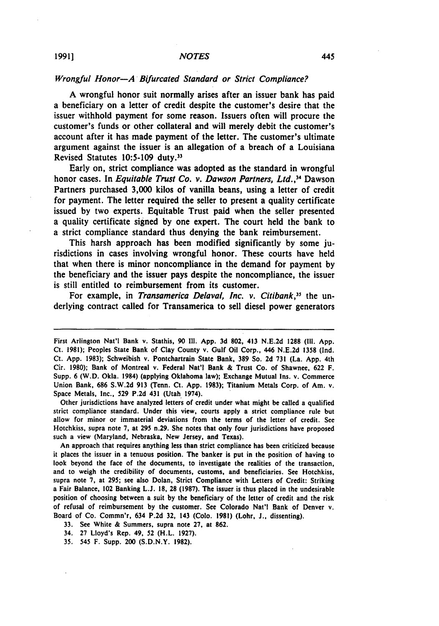#### *Wrongful Honor-A Bifurcated Standard or Strict Compliance?*

**A** wrongful honor suit normally arises after an issuer bank has paid a beneficiary on a letter of credit despite the customer's desire that the issuer withhold payment for some reason. Issuers often will procure the customer's funds or other collateral and will merely debit the customer's account after it has made payment of the letter. The customer's ultimate argument against the issuer is an allegation of a breach of a Louisiana Revised Statutes **10:5-109** duty."

Early on, strict compliance was adopted as the standard in wrongful honor cases. In *Equitable Trust Co. v. Dawson Partners, Ltd.*,<sup>34</sup> Dawson Partners purchased **3,000** kilos of vanilla beans, using a letter of credit for payment. The letter required the seller to present a quality certificate issued **by** two experts. Equitable Trust paid when the seller presented a quality certificate signed **by** one expert. The court held the bank to a strict compliance standard thus denying the bank reimbursement.

This harsh approach has been modified significantly **by** some jurisdictions in cases involving wrongful honor. These courts have held that when there is minor noncompliance in the demand for payment **by** the beneficiary and the issuer pays despite the noncompliance, the issuer is still entitled to reimbursement from its customer.

For example, in *Transamerica Delaval, Inc. v. Citibank,"* the underlying contract called for Transamerica to sell diesel power generators

Other jurisdictions have analyzed letters of credit under what might be called a qualified strict compliance standard. Under this view, courts apply a strict compliance rule but allow for minor or immaterial deviations from the terms of the letter of credit. See Hotchkiss, supra note **7,** at **295** n.29. She notes that only four jurisdictions have proposed such a view (Maryland, Nebraska, New Jersey, and Texas).

An approach that requires anything less than strict compliance has been criticized because it places the issuer in a tenuous position. The banker is put in the position of having to look beyond the face of the documents, to investigate the realities of the transaction, and to weigh the credibility of documents, customs, and beneficiaries. See Hotchkiss, **supra** note **7,** at **295;** see also Dolan, Strict Compliance with Letters of Credit: Striking a Fair Balance, 102 Banking **L.J. 18, 28 (1987).** The issuer is thus placed in the undesirable position of choosing between a suit **by** the beneficiary of the letter of credit and the risk of refusal of reimbursement **by** the customer. See Colorado Nat'l Bank of Denver v. Board of Co. Commn'r, 634 **P.2d 32,** 143 (Colo. **1981)** (Lohr, **J.,** dissenting).

**33.** See White **&** Summers, supra note **27,** at **862.**

- 34. **27** Lloyd's Rep. 49, **52** (H.L. **1927).**
- **35.** 545 F. Supp. 200 **(S.D.N.Y. 1982).**

First Arlington Nat'l Bank v. Stathis, **90 Ill. App. 3d 802,** 413 **N.E.2d 1288 (Il1. App.** Ct. **1981);** Peoples State Bank of Clay County v. Gulf Oil Corp., 446 **N.E.2d 1358 (Ind.** Ct. **App. 1983);** Schweibish v. Pontchartrain State Bank, **389** So. **2d 731** (La. **App.** 4th Cir. **1980);** Bank of Montreal v. Federal Nat'l Bank **&** Trust Co. of Shawnee, **622** F. Supp. 6 (W.D. Okla. 1984) (applying Oklahoma law); Exchange Mutual Ins. v. Commerce Union Bank, **686 S.W.2d 913** (Tenn. Ct. **App. 1983);** Titanium Metals Corp. of Am. v. Space Metals, Inc., **529 P.2d** 431 (Utah 1974).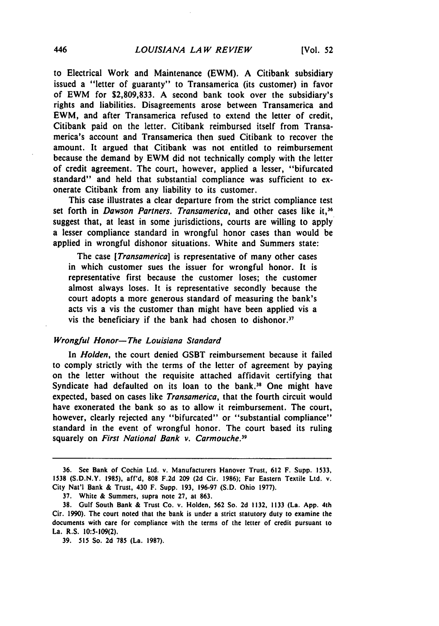to Electrical Work and Maintenance (EWM). A Citibank subsidiary issued a "letter of guaranty" to Transamerica (its customer) in favor of EWM for **\$2,809,833.** A second bank took over the subsidiary's rights and liabilities. Disagreements arose between Transamerica and EWM, and after Transamerica refused to extend the letter of credit, Citibank paid on the letter. Citibank reimbursed itself from Transamerica's account and Transamerica then sued Citibank to recover the amount. It argued that Citibank was not entitled to reimbursement because the demand by EWM did not technically comply with the letter of credit agreement. The court, however, applied a lesser, "bifurcated standard" and held that substantial compliance was sufficient to exonerate Citibank from any liability to its customer.

This case illustrates a clear departure from the strict compliance test set forth in *Dawson Partners. Transamerica*, and other cases like it,<sup>36</sup> suggest that, at least in some jurisdictions, courts are willing to apply a lesser compliance standard in wrongful honor cases than would be applied in wrongful dishonor situations. White and Summers state:

The case *[Transamerica]* is representative of many other cases in which customer sues the issuer for wrongful honor. It is representative first because the customer loses; the customer almost always loses. It is representative secondly because the court adopts a more generous standard of measuring the bank's acts vis a vis the customer than might have been applied vis a vis the beneficiary if the bank had chosen to dishonor.<sup>37</sup>

#### Wrongful *Honor-The Louisiana Standard*

In Holden, the court denied **GSBT** reimbursement because it failed to comply strictly with the terms of the letter of agreement **by** paying on the letter without the requisite attached affidavit certifying that Syndicate had defaulted on its loan to the bank.<sup>38</sup> One might have expected, based on cases like *Transamerica,* that the fourth circuit would have exonerated the bank so as to allow it reimbursement. The court, however, clearly rejected any "bifurcated" or "substantial compliance" standard in the event of wrongful honor. The court based its ruling squarely on *First National Bank v. Carmouche.*<sup>39</sup>

**<sup>36.</sup>** See Bank of Cochin Ltd. v. Manufacturers Hanover Trust, **612** F. Supp. **1533,** <sup>1538</sup>**(S.D.N.Y. 1985),** aff'd, **808 F.2d 209 (2d** Cir. **1986);** Far Eastern Textile Ltd. v. City Nat'l Bank **&** Trust, 430 F. Supp. **193, 196-97 (S.D.** Ohio **1977).**

**<sup>37.</sup>** White **&** Summers, supra note **27,** at **863.**

**<sup>38.</sup>** Gulf South Bank **&** Trust Co. v. Holden, **562** So. **2d 1132, 1133** (La. **App.** 4th Cir. **1990).** The court noted that the bank is under a strict statutory duty to examine the documents with care for compliance with the terms of the letter of credit pursuant to La. R.S. **10:5-109(2).**

**<sup>39. 515</sup>** So. **2d 785** (La. **1987).**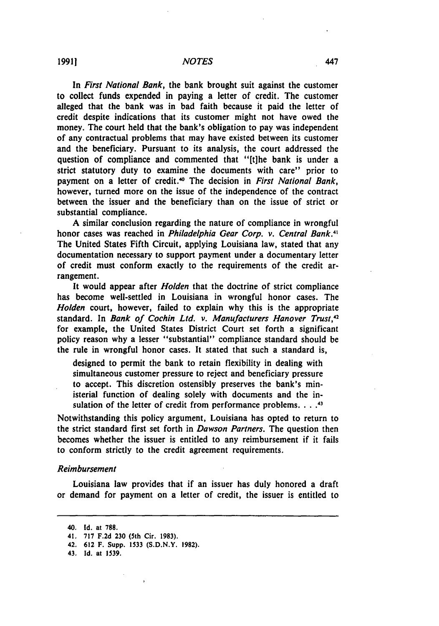In *First National Bank,* the bank brought suit against the customer to collect funds expended in paying a letter of credit. The customer alleged that the bank was in bad faith because it paid the letter of credit despite indications that its customer might not have owed the money. The court held that the bank's obligation to pay was independent of any contractual problems that may have existed between its customer and the beneficiary. Pursuant to its analysis, the court addressed the question of compliance and commented that "[t]he bank is under a strict statutory duty to examine the documents with care" prior to payment on a letter of credit.<sup>40</sup> The decision in *First National Bank*, however, turned more on the issue of the independence of the contract between the issuer and the beneficiary than on the issue of strict or substantial compliance.

**A** similar conclusion regarding the nature of compliance in wrongful honor cases was reached in *Philadelphia Gear Corp. v. Central Bank.4 <sup>1</sup>* The United States Fifth Circuit, applying Louisiana law, stated that any documentation necessary to support payment under a documentary letter of credit must conform exactly to the requirements of the credit arrangement.

It would appear after *Holden* that the doctrine of strict compliance has become well-settled in Louisiana in wrongful honor cases. The *Holden* court, however, failed to explain why this is the appropriate standard. In *Bank of Cochin Ltd. v. Manufacturers Hanover Trust,42* for example, the United States District Court set forth a significant policy reason why a lesser "substantial" compliance standard should be the rule in wrongful honor cases. It stated that such a standard is,

designed to permit the bank to retain flexibility in dealing with simultaneous customer pressure to reject and beneficiary pressure to accept. This discretion ostensibly preserves the bank's ministerial function of dealing solely with documents and the insulation of the letter of credit from performance problems. . . .<sup>43</sup>

Notwithstanding this policy argument, Louisiana has opted to return to the strict standard first set forth in *Dawson Partners.* The question then becomes whether the issuer is entitled to any reimbursement if it fails to conform strictly to the credit agreement requirements.

#### *Reimbursement*

Louisiana law provides that if an issuer has duly honored a draft or demand for payment on a letter of credit, the issuer is entitled to

<sup>40.</sup> **Id.** at **788.**

**<sup>41. 717</sup> F.2d 230** (5th Cir. **1983).**

<sup>42.</sup> **612** F. Supp. 1533 **(S.D.N.Y. 1982).**

**<sup>43.</sup> Id.** at **1539.**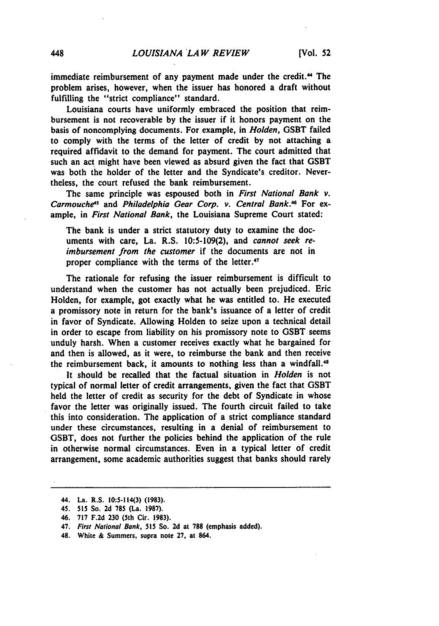immediate reimbursement of any payment made under the credit.<sup>44</sup> The problem arises, however, when the issuer has honored a draft without fulfilling the "strict compliance" standard.

Louisiana courts have uniformly embraced the position that reimbursement is not recoverable **by** the issuer if it honors payment on the basis of noncomplying documents. For example, in *Holden,* **GSBT** failed to comply with the terms of the letter of credit **by** not attaching a required affidavit to the demand for payment. The court admitted that such an act might have been viewed as absurd given the fact that **GSBT** was both the holder of the letter and the Syndicate's creditor. Nevertheless, the court refused the bank reimbursement.

The same principle was espoused both in *First National Bank v.* Carmouche<sup>45</sup> and Philadelphia Gear Corp. v. Central Bank.<sup>46</sup> For example, in *First National* Bank, the Louisiana Supreme Court stated:

The bank is under a strict statutory duty to examine the documents with care, La. R.S. **10:5-109(2),** and cannot *seek* reimbursement from the customer if the documents are not in proper compliance with the terms of the letter.<sup>47</sup>

The rationale for refusing the issuer reimbursement is difficult to understand when the customer has not actually been prejudiced. Eric Holden, for example, got exactly what he was entitled to. He executed a promissory note in return for the bank's issuance of a letter of credit in favor of Syndicate. Allowing Holden to seize upon a technical detail in order to escape from liability on his promissory note to **GSBT** seems unduly harsh. When a customer receives exactly what he bargained for and then is allowed, as it were, to reimburse the bank and then receive the reimbursement back, it amounts to nothing less than a windfall.<sup>48</sup>

It should be recalled that the factual situation in *Holden* is not typical of normal letter of credit arrangements, given the fact that **GSBT** held the letter of credit as security for the debt of Syndicate in whose favor the letter was originally issued. The fourth circuit failed to take this into consideration. The application of a strict compliance standard under these circumstances, resulting in a denial of reimbursement to **GSBT,** does not further the policies behind the application of the rule in otherwise normal circumstances. Even in a typical letter of credit arrangement, some academic authorities suggest that banks should rarely

<sup>44.</sup> La. R.S. 10:5-114(3) **(1983).**

<sup>45.</sup> **515** So. **2d 785** (La. **1987).**

<sup>46.</sup> **717 F.2d 230** (5th Cir. **1983).**

<sup>47.</sup> *First National Bank, 515* So. **2d** at **788** (emphasis added).

<sup>48.</sup> White & Summers, supra note **27,** at 864.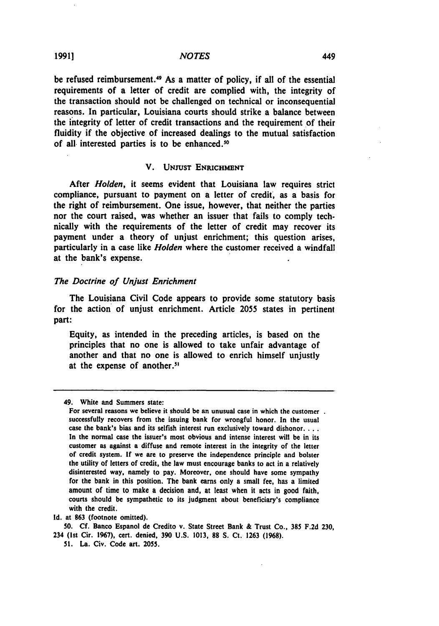be refused reimbursement.<sup>49</sup> As a matter of policy, if all of the essential requirements of a letter of credit are complied with, the integrity of the transaction should not be challenged on technical or inconsequential reasons. In particular, Louisiana courts should strike a balance between the integrity of letter of credit transactions and the requirement of their fluidity if the objective of increased dealings to the mutual satisfaction of all interested parties is to be enhanced.<sup>50</sup>

#### V. **UNYUST** ENRICHMENT

After *Holden,* it seems evident that Louisiana law requires strict compliance, pursuant to payment on a letter of credit, as a basis for the right of reimbursement. One issue, however, that neither the parties nor the court raised, was whether an issuer that fails to comply technically with the requirements of the letter of credit may recover its payment under a theory of unjust enrichment; this question arises, particularly in a case like *Holden* where the customer received a windfall at the bank's expense.

#### *The Doctrine of Unjust Enrichment*

The Louisiana Civil Code appears to provide some statutory basis for the action of unjust enrichment. Article **2055** states in pertinent part:

Equity, as intended in the preceding articles, is based on the principles that no one is allowed to take unfair advantage of another and that no one is allowed to enrich himself unjustly at the expense of another."

<sup>49.</sup> White and Summers state:

For several reasons we believe it should be an unusual case in which the customer. successfully recovers from the issuing bank for wrongful honor. In the usual case the bank's bias and its selfish interest run exclusively toward dishonor.... In the normal case the issuer's most obvious and intense interest will be in its customer as against a diffuse and remote interest in the integrity of the letter of credit system. **If** we are to preserve the independence principle and bolster the utility of letters of credit, the law must encourage banks to act in a relatively disinterested way, namely to pay. Moreover, one should have some sympathy for the bank in this position. The bank earns only a small fee, has a limited amount of time to make a decision and, at least when it acts in good faith, courts should be sympathetic to its judgment about beneficiary's compliance with the credit.

**Id.** at **863** (footnote omitted).

**<sup>50.</sup> Cf.** Banco Espanol de Credito v. State Street Bank **&** Trust Co., **385 F.2d 230,** 234 (Ist Cir. **1967),** cert. denied, **390 U.S. 1013, 88 S.** Ct. **1263 (1968).**

**<sup>51.</sup>** La. Civ. Code art. **2055.**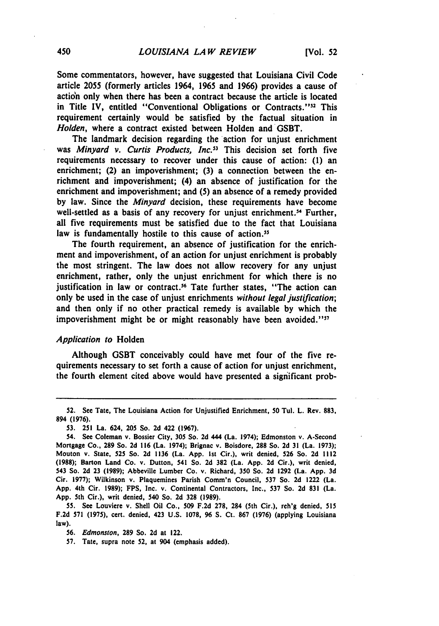Some commentators, however, have suggested that Louisiana Civil Code article **2055** (formerly articles 1964, **1965** and **1966)** provides a cause of action only when there has been a contract because the article is located in Title IV, entitled "Conventional Obligations or Contracts."<sup>52</sup> This requirement certainly would be satisfied **by** the factual situation in *Holden,* where a contract existed between Holden and GSBT.

The landmark decision regarding the action for unjust enrichment was *Minyard v. Curtis Products, Inc.*<sup>53</sup> This decision set forth five requirements necessary to recover under this cause of action: **(1)** an enrichment; (2) an impoverishment; **(3)** a connection between the enrichment and impoverishment; (4) an absence of justification for the enrichment and impoverishment; and **(5)** an absence of a remedy provided **by** law. Since the *Minyard* decision, these requirements have become well-settled as a basis of any recovery for unjust enrichment.<sup>54</sup> Further, all five requirements must be satisfied due to the fact that Louisiana law is fundamentally hostile to this cause of action.<sup>55</sup>

The fourth requirement, an absence of justification for the enrichment and impoverishment, of an action for unjust enrichment is probably the most stringent. The law does not allow recovery for any unjust enrichment, rather, only the unjust enrichment for which there is no justification in law or contract.<sup>56</sup> Tate further states, "The action can only be used in the case of unjust enrichments *without legal justification;* and then only if no other practical remedy is available **by** which the impoverishment might be or might reasonably have been avoided."<sup>17</sup>

#### *Application to* Holden

Although **GSBT** conceivably could have met four of the five requirements necessary to set forth a cause of action for unjust enrichment, the fourth element cited above would have presented a significant prob-

**55.** See Louviere v. Shell Oil Co., **509 F.2d 278,** 284 (5th Cir.), reh'g denied, **<sup>515</sup> F.2d 571 (1975),** cert. denied, 423 **U.S. 1078, 96 S.** Ct. **867 (1976)** (applying Louisiana law).

*56.* Edmonston, **289** So. **2d** at 122.

**57.** Tate, supra note *52,* at 904 (emphasis added).

**<sup>52.</sup>** See Tate, The Louisiana Action for Unjustified Enrichment, **50** Tul. L. Rev. **883,** 894 **(1976).**

**<sup>53. 251</sup>** La. 624, **205** So. **2d** 422 **(1967).**

<sup>54.</sup> See Coleman v. Bossier City, **305** So. **2d** 444 (La. 1974); Edmonston **v.** A-Second Mortgage Co., **289** So. **2d 116** (La. 1974); Brignac v. Boisdore, **288** So. **2d 31** (La. **1973);** Mouton v. State, **525** So. **2d 1136** (La. **App. Ist** Cir.), writ denied, **526** So. **2d** <sup>1112</sup> **(1988);** Barton Land Co. v. Dutton, 541 So. **2d 382** (La. **App. 2d** Cir.), writ denied, 543 So. **2d 23 (1989);** Abbeville Lumber Co. v. Richard, **350** So. **2d 1292** (La. **App. 3d** Cir. **1977);** Wilkinson v. Plaquemines Parish Comm'n Council, **537** So. **2d** 1222 (La. **App.** 4th Cir. **1989); FPS,** Inc. v. Continental Contractors, Inc., **537** So. **2d 831** (La. **App.** 5th Cir.), writ denied, 540 So. **2d 328 (1989).**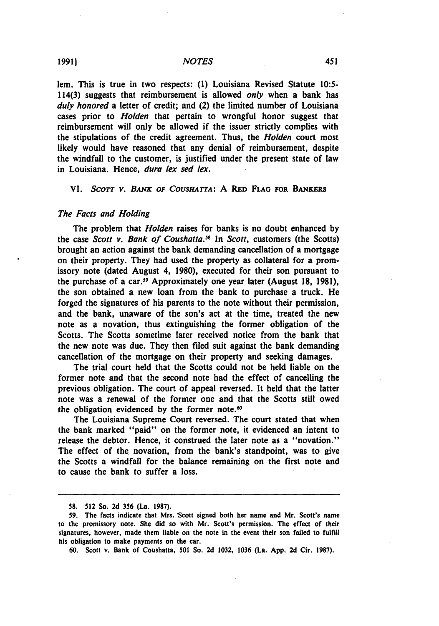lem. This is true in two respects: **(1)** Louisiana Revised Statute **10:5-** 114(3) suggests that reimbursement is allowed *only* when a bank has *duly honored* a letter of credit; and (2) the limited number of Louisiana cases prior to *Holden* that pertain to wrongful honor suggest that reimbursement will only be allowed if the issuer strictly complies with the stipulations of the credit agreement. Thus, the *Holden* court most likely would have reasoned that any denial of reimbursement, despite the windfall to the customer, is justified under the present state of law in Louisiana. Hence, *dura lex sed lex.*

#### VI. *SCOTT V. BANK OF COUSHATTA*: A RED FLAG FOR BANKERS

#### The *Facts and Holding*

The problem that Holden raises for banks is no doubt enhanced **by** the case *Scott v. Bank of Coushatta."* In *Scott,* customers (the Scotts) brought an action against the bank demanding cancellation of a mortgage on their property. They had used the property as collateral for a promissory note (dated August 4, **1980),** executed for their son pursuant to the purchase of a car.<sup>59</sup> Approximately one year later (August 18, 1981), the son obtained a new loan from the bank to purchase a truck. He forged the signatures of his parents to the note without their permission, and the bank, unaware of the son's act at the time, treated the new note as a novation, thus extinguishing the former obligation of the Scotts. The Scotts sometime later received notice from the bank that the new note was due. They then filed suit against the bank demanding cancellation of the mortgage on their property and seeking damages.

The trial court held that the Scotts could not be held liable on the former note and that the second note had the effect of cancelling the previous obligation. The court of appeal reversed. It held that the latter note was a renewal of the former one and that the Scotts still owed the obligation evidenced by the former note.<sup>60</sup>

The Louisiana Supreme Court reversed. The court stated that when the bank marked "paid" on the former note, it evidenced an intent to release the debtor. Hence, it construed the later note as a "novation." The effect of the novation, from the bank's standpoint, was to give the Scotts a windfall for the balance remaining on the first note and to cause the bank to suffer a loss.

**<sup>58. 512</sup>** So. **2d 356** (La. **1987).**

**<sup>59.</sup>** The facts indicate that Mrs. 'Scott signed both her name and Mr. Scott's name to the promissory note. She did so with Mr. Scott's permission. The effect of their signatures, however, made them liable on the note in the event their son failed to fulfill his obligation to make payments on the car.

**<sup>60.</sup>** Scott v. Bank of Coushatta, *501* So. **2d 1032, 1036** (La. **App. 2d** Cir. **1987).**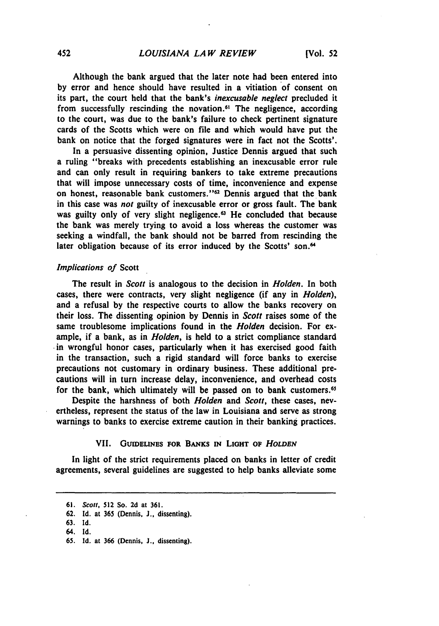Although the bank argued that the later note had been entered into **by** error and hence should have resulted in a vitiation of consent on its part, the court held that the bank's *inexcusable neglect* precluded it from successfully rescinding the novation.<sup>61</sup> The negligence, according to the court, was due to the bank's failure to check pertinent signature cards of the Scotts which were on file and which would have put the bank on notice that the forged signatures were in fact not the Scotts'.

In a persuasive dissenting opinion, Justice Dennis argued that such a ruling "breaks with precedents establishing an inexcusable error rule and can only result in requiring bankers to take extreme precautions that will impose unnecessary costs of time, inconvenience and expense on honest, reasonable bank customers."62 Dennis argued that the bank in this case was not guilty of inexcusable error or gross fault. The bank was guilty only of very slight negligence.<sup>63</sup> He concluded that because the bank was merely trying to avoid a loss whereas the customer was seeking a windfall, the bank should not be barred from rescinding the later obligation because of its error induced by the Scotts' son.<sup>64</sup>

#### *Implications of* Scott

The result in *Scott* is analogous to the decision in *Holden.* In both cases, there were contracts, very slight negligence (if any in *Holden),* and a refusal **by** the respective courts to allow the banks recovery on their loss. The dissenting opinion **by** Dennis in *Scott* raises some of the same troublesome implications found in the *Holden* decision. For example, if a bank, as in *Holden,* is held to a strict compliance standard in wrongful honor cases, particularly when it has exercised good faith in the transaction, such a rigid standard will force banks to exercise precautions not customary in ordinary business. These additional precautions will in turn increase delay, inconvenience, and overhead costs for the bank, which ultimately will be passed on to bank customers.<sup>65</sup>

Despite the harshness of both *Holden* and *Scott,* these cases, nevertheless, represent the status of the law in Louisiana and serve as strong warnings to banks to exercise extreme caution in their banking practices.

#### VII. GUIDELES FOR **BANKs** *n* **LIOHT OF** *HOLDEN*

In light of the strict requirements placed on banks in letter of credit agreements, several guidelines are suggested to help banks alleviate some

**<sup>61.</sup>** Scott, 512 So. **2d** at **361.**

**<sup>62.</sup> Id.** at 365 (Dennis. **J.,** dissenting).

**<sup>63.</sup>** Id.

<sup>64.</sup> Id.

**<sup>65.</sup> Id.** at 366 (Dennis, **J.,** dissenting).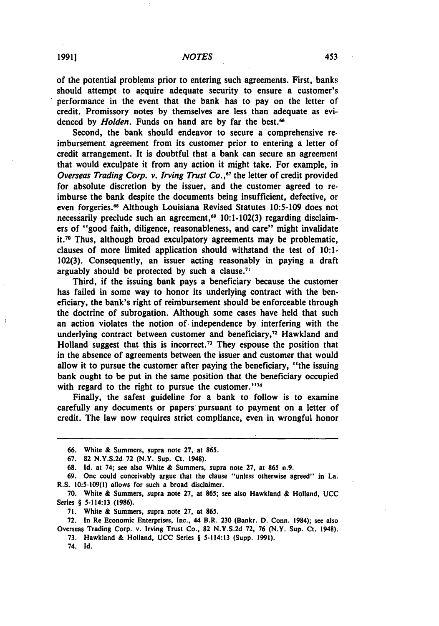*NOTES*

of the potential problems prior to entering such agreements. First, banks should attempt to acquire adequate security to ensure a customer's performance in the event that the bank has to pay on the letter of credit. Promissory notes **by** themselves are less than adequate as evidenced by *Holden*. Funds on hand are by far the best.<sup>66</sup>

Second, the bank should endeavor to secure a comprehensive reimbursement agreement from its customer prior to entering a letter of credit arrangement. It is doubtful that a bank can secure an agreement that would exculpate it from any action it might take. For example, in *Overseas Trading Corp. v. Irving Trust Co.* **,67** the letter of credit provided for absolute discretion **by** the issuer, and the customer agreed to reimburse the bank despite the documents being insufficient, defective, or even forgeries." Although Louisiana Revised Statutes **10:5-109** does not necessarily preclude such an agreement,<sup>69</sup> 10:1-102(3) regarding disclaimers of "good faith, diligence, reasonableness, and care" might invalidate it.7o Thus, although broad exculpatory agreements may be problematic, clauses of more limited application should withstand the test of **10:1- 102(3).** Consequently, an issuer acting reasonably in paying a draft arguably should be protected by such a clause.<sup>71</sup>

Third, if the issuing bank pays a beneficiary because the customer has failed in some way to honor its underlying contract with the beneficiary, the bank's right of reimbursement should be enforceable through the doctrine of subrogation. Although some cases have held that such an action violates the notion of independence **by** interfering with the underlying contract between customer and beneficiary, $<sup>72</sup>$  Hawkland and</sup> Holland suggest that this is incorrect.<sup>73</sup> They espouse the position that in the absence of agreements between the issuer and customer that would allow it to pursue the customer after paying the beneficiary, "the issuing bank ought to be put in the same position that the beneficiary occupied with regard to the right to pursue the customer."<sup>74</sup>

Finally, the safest guideline for a bank to follow is to examine carefully any documents or papers pursuant to payment on a letter of credit. The law now requires strict compliance, even in wrongful honor

74. **Id.**

**<sup>66.</sup>** White **&** Summers, supra note 27, at **865.**

**<sup>67. 82</sup> N.Y.S.2d 72** (N.Y. Sup. Ct. 1948).

**<sup>68.</sup> Id.** at 74; see also White **&** Summers, supra note **27,** at **865** n.9.

**<sup>69.</sup>** One could conceivably argue that the clause "unless otherwise agreed" in La. R.S. **10:5-109(l)** allows for such a broad disclaimer.

**<sup>70.</sup>** White **&** Summers, supra note **27,** at **865;** see also Hawkland **&** Holland, **UCC** Series § 5-114:13 **(1986).**

**<sup>71.</sup>** White & Summers, supra note **27,** at **865.**

**<sup>72.</sup>** In Re Economic Enterprises, Inc., 44 B.R. **230** (Bankr. **D.** Conn. 1984); see also Overseas Trading Corp. v. Irving Trust Co., **82 N.Y.S.2d 72, 76** (N.Y. Sup. Ct. 1948).

**<sup>73.</sup>** Hawkland & Holland, **UCC** Series § 5-114:13 (Supp. **1991).**